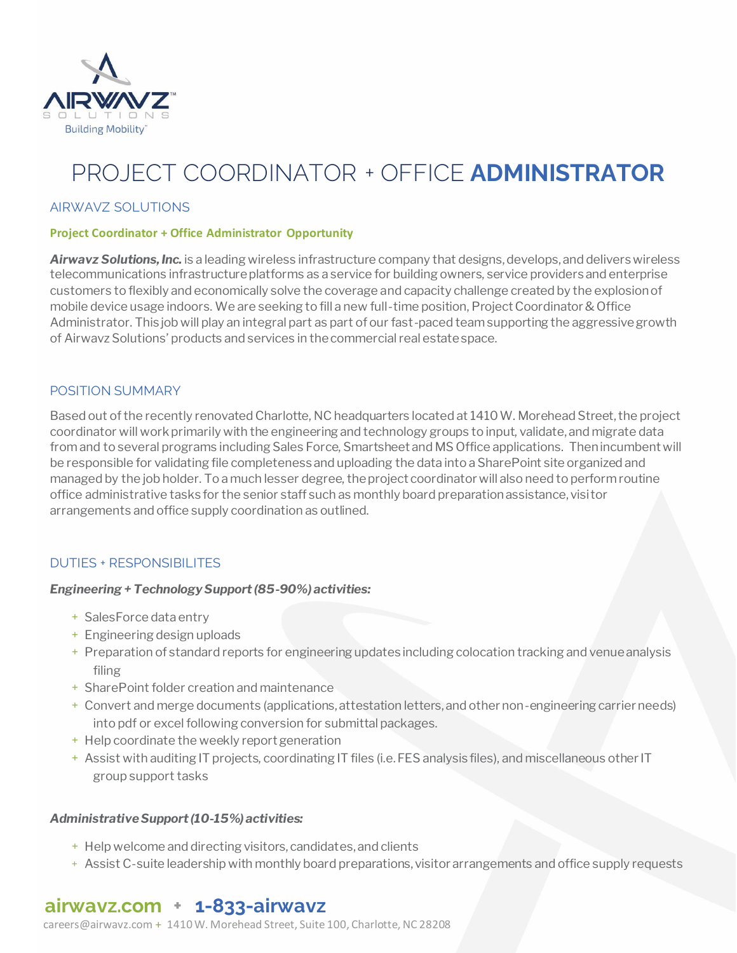

# PROJECT COORDINATOR + OFFICE **ADMINISTRATOR**

### AIRWAVZ SOLUTIONS

### **Project Coordinator + Office Administrator Opportunity**

*Airwavz Solutions, Inc.* is a leading wireless infrastructure company that designs, develops, and delivers wireless telecommunications infrastructure platforms as a service for building owners, service providers and enterprise customers to flexibly and economically solve the coverage and capacity challenge created by the explosion of mobile device usage indoors. We are seeking to fill a new full-time position, Project Coordinator & Office Administrator. This job will play an integral part as part of our fast-paced team supporting the aggressive growth of Airwavz Solutions' products and services in the commercial real estate space.

### POSITION SUMMARY

Based out of the recently renovated Charlotte, NC headquarters located at 1410 W. Morehead Street, the project coordinator will work primarily with the engineering and technology groups to input, validate, and migrate data from and to several programs including Sales Force, Smartsheet and MS Office applications. Then incumbent will be responsible for validating file completeness and uploading the data into a SharePoint site organized and managed by the job holder. To a much lesser degree, the project coordinator will also need to perform routine office administrative tasks for the senior staff such as monthly board preparation assistance, visitor arrangements and office supply coordination as outlined.

### DUTIES + RESPONSIBILITES

### *Engineering + Technology Support (85-90%) activities:*

- + SalesForce data entry
- + Engineering design uploads
- + Preparation of standard reports for engineering updates including colocation tracking and venue analysis filing
- + SharePoint folder creation and maintenance
- + Convert and merge documents (applications, attestation letters, and other non-engineering carrier needs) into pdf or excel following conversion for submittal packages.
- + Help coordinate the weekly report generation
- + Assist with auditing IT projects, coordinating IT files (i.e. FES analysis files), and miscellaneous other IT group support tasks

### *Administrative Support (10-15%) activities:*

- + Help welcome and directing visitors, candidates, and clients
- + Assist C-suite leadership with monthly board preparations, visitor arrangements and office supply requests

### **airwavz.com + 1-833-airwavz**

[careers@airwavz.com](about:blank) + 1410 W. Morehead Street, Suite 100, Charlotte, NC 28208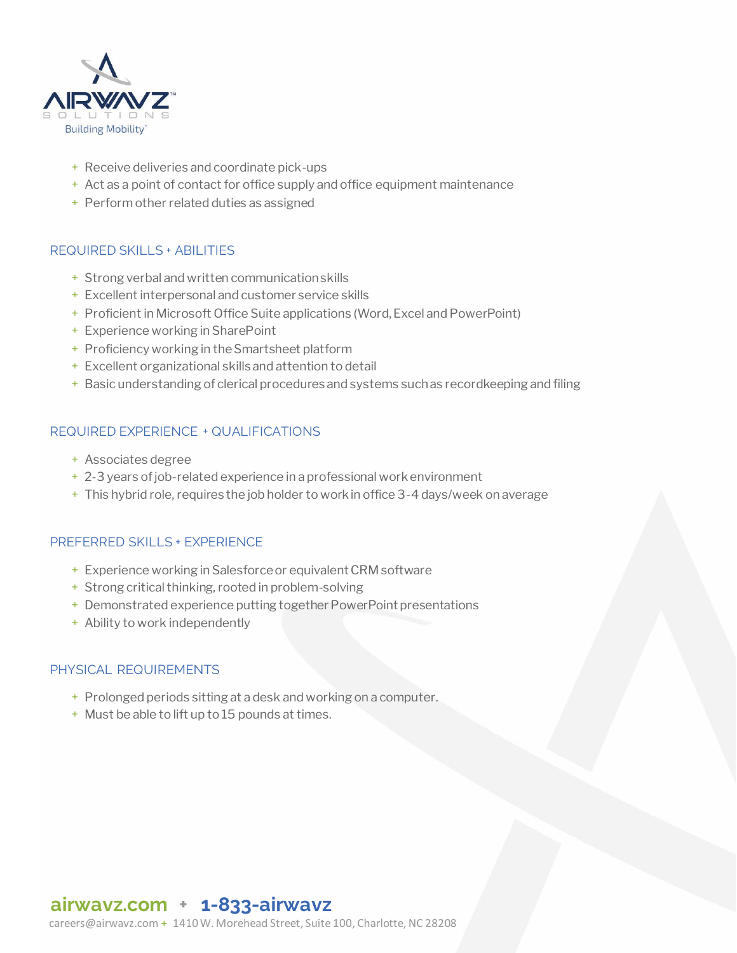

- + Receive deliveries and coordinate pick-ups
- + Act as a point of contact for office supply and office equipment maintenance
- + Perform other related duties as assigned

### REQUIRED SKILLS + ABILITIES

- + Strong verbal and written communication skills
- + Excellent interpersonal and customer service skills
- + Proficient in Microsoft Office Suite applications (Word, Excel and PowerPoint)
- + Experience working in SharePoint
- + Proficiency working in the Smartsheet platform
- + Excellent organizational skills and attention to detail
- + Basic understanding of clerical procedures and systems such as recordkeeping and filing

### REQUIRED EXPERIENCE + QUALIFICATIONS

- + Associates degree
- + 2-3 years of job-related experience in a professional work environment
- + This hybrid role, requires the job holder to work in office 3-4 days/week on average

### PREFERRED SKILLS + EXPERIENCE

- + Experience working in Salesforce or equivalent CRM software
- + Strong critical thinking, rooted in problem-solving
- + Demonstrated experience putting together PowerPoint presentations
- + Ability to work independently

### PHYSICAL REQUIREMENTS

- + Prolonged periods sitting at a desk and working on a computer.
- + Must be able to lift up to 15 pounds at times.

### **airwavz.com + 1-833-airwavz**

[careers@airwavz.com](about:blank) + 1410 W. Morehead Street, Suite 100, Charlotte, NC 28208